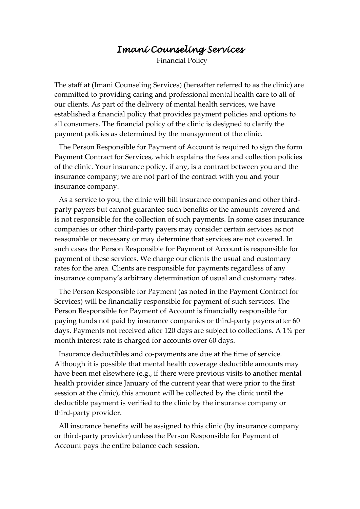## *Imani Counseling Services*

Financial Policy

The staff at (Imani Counseling Services) (hereafter referred to as the clinic) are committed to providing caring and professional mental health care to all of our clients. As part of the delivery of mental health services, we have established a financial policy that provides payment policies and options to all consumers. The financial policy of the clinic is designed to clarify the payment policies as determined by the management of the clinic.

The Person Responsible for Payment of Account is required to sign the form Payment Contract for Services, which explains the fees and collection policies of the clinic. Your insurance policy, if any, is a contract between you and the insurance company; we are not part of the contract with you and your insurance company.

As a service to you, the clinic will bill insurance companies and other thirdparty payers but cannot guarantee such benefits or the amounts covered and is not responsible for the collection of such payments. In some cases insurance companies or other third-party payers may consider certain services as not reasonable or necessary or may determine that services are not covered. In such cases the Person Responsible for Payment of Account is responsible for payment of these services. We charge our clients the usual and customary rates for the area. Clients are responsible for payments regardless of any insurance company's arbitrary determination of usual and customary rates.

The Person Responsible for Payment (as noted in the Payment Contract for Services) will be financially responsible for payment of such services. The Person Responsible for Payment of Account is financially responsible for paying funds not paid by insurance companies or third-party payers after 60 days. Payments not received after 120 days are subject to collections. A 1% per month interest rate is charged for accounts over 60 days.

Insurance deductibles and co-payments are due at the time of service. Although it is possible that mental health coverage deductible amounts may have been met elsewhere (e.g., if there were previous visits to another mental health provider since January of the current year that were prior to the first session at the clinic), this amount will be collected by the clinic until the deductible payment is verified to the clinic by the insurance company or third-party provider.

All insurance benefits will be assigned to this clinic (by insurance company or third-party provider) unless the Person Responsible for Payment of Account pays the entire balance each session.